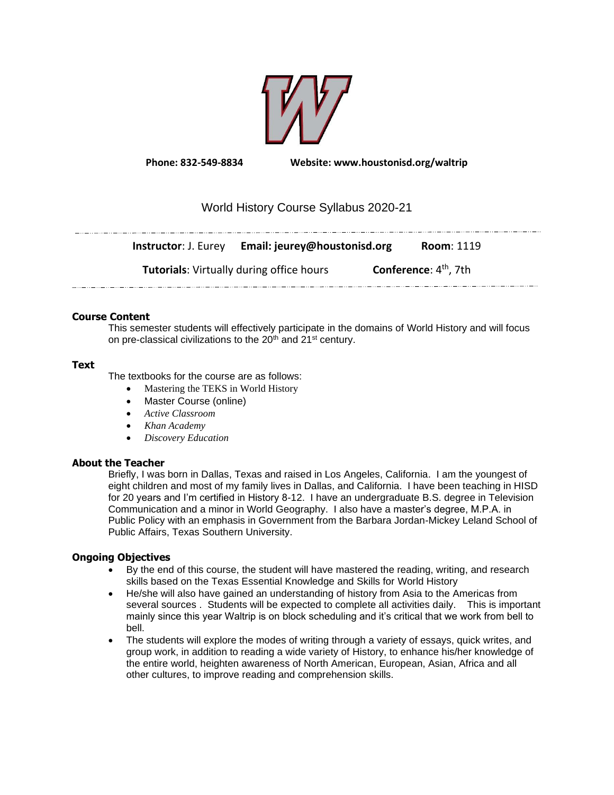

**Phone: 832-549-8834 Website: www.houstonisd.org/waltrip**

# World History Course Syllabus 2020-21

**Instructor**: J. Eurey **Email: jeurey@houstonisd.org Room**: 1119 **Tutorials**: Virtually during office hours **Conference**: 4<sup>th</sup>, 7th

# **Course Content**

This semester students will effectively participate in the domains of World History and will focus on pre-classical civilizations to the 20<sup>th</sup> and 21<sup>st</sup> century.

# **Text**

The textbooks for the course are as follows:

- Mastering the TEKS in World History
- Master Course (online)
- *Active Classroom*
- *Khan Academy*
- *Discovery Education*

# **About the Teacher**

Briefly, I was born in Dallas, Texas and raised in Los Angeles, California. I am the youngest of eight children and most of my family lives in Dallas, and California. I have been teaching in HISD for 20 years and I'm certified in History 8-12. I have an undergraduate B.S. degree in Television Communication and a minor in World Geography. I also have a master's degree, M.P.A. in Public Policy with an emphasis in Government from the Barbara Jordan-Mickey Leland School of Public Affairs, Texas Southern University.

# **Ongoing Objectives**

- By the end of this course, the student will have mastered the reading, writing, and research skills based on the Texas Essential Knowledge and Skills for World History
- He/she will also have gained an understanding of history from Asia to the Americas from several sources . Students will be expected to complete all activities daily. This is important mainly since this year Waltrip is on block scheduling and it's critical that we work from bell to bell.
- The students will explore the modes of writing through a variety of essays, quick writes, and group work, in addition to reading a wide variety of History, to enhance his/her knowledge of the entire world, heighten awareness of North American, European, Asian, Africa and all other cultures, to improve reading and comprehension skills.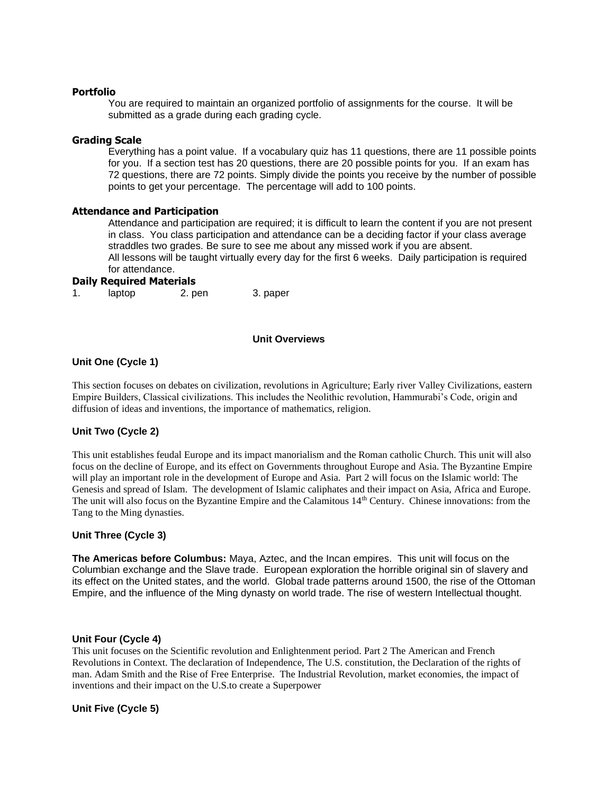### **Portfolio**

You are required to maintain an organized portfolio of assignments for the course. It will be submitted as a grade during each grading cycle.

# **Grading Scale**

Everything has a point value. If a vocabulary quiz has 11 questions, there are 11 possible points for you. If a section test has 20 questions, there are 20 possible points for you. If an exam has 72 questions, there are 72 points. Simply divide the points you receive by the number of possible points to get your percentage. The percentage will add to 100 points.

### **Attendance and Participation**

Attendance and participation are required; it is difficult to learn the content if you are not present in class. You class participation and attendance can be a deciding factor if your class average straddles two grades. Be sure to see me about any missed work if you are absent. All lessons will be taught virtually every day for the first 6 weeks. Daily participation is required for attendance.

# **Daily Required Materials**

| 1. | laptop | 2. pen | 3. paper |
|----|--------|--------|----------|
|    |        |        |          |

### **Unit Overviews**

# **Unit One (Cycle 1)**

This section focuses on debates on civilization, revolutions in Agriculture; Early river Valley Civilizations, eastern Empire Builders, Classical civilizations. This includes the Neolithic revolution, Hammurabi's Code, origin and diffusion of ideas and inventions, the importance of mathematics, religion.

### **Unit Two (Cycle 2)**

This unit establishes feudal Europe and its impact manorialism and the Roman catholic Church. This unit will also focus on the decline of Europe, and its effect on Governments throughout Europe and Asia. The Byzantine Empire will play an important role in the development of Europe and Asia. Part 2 will focus on the Islamic world: The Genesis and spread of Islam. The development of Islamic caliphates and their impact on Asia, Africa and Europe. The unit will also focus on the Byzantine Empire and the Calamitous 14<sup>th</sup> Century. Chinese innovations: from the Tang to the Ming dynasties.

#### **Unit Three (Cycle 3)**

**The Americas before Columbus:** Maya, Aztec, and the Incan empires. This unit will focus on the Columbian exchange and the Slave trade. European exploration the horrible original sin of slavery and its effect on the United states, and the world. Global trade patterns around 1500, the rise of the Ottoman Empire, and the influence of the Ming dynasty on world trade. The rise of western Intellectual thought.

#### **Unit Four (Cycle 4)**

This unit focuses on the Scientific revolution and Enlightenment period. Part 2 The American and French Revolutions in Context. The declaration of Independence, The U.S. constitution, the Declaration of the rights of man. Adam Smith and the Rise of Free Enterprise. The Industrial Revolution, market economies, the impact of inventions and their impact on the U.S.to create a Superpower

### **Unit Five (Cycle 5)**